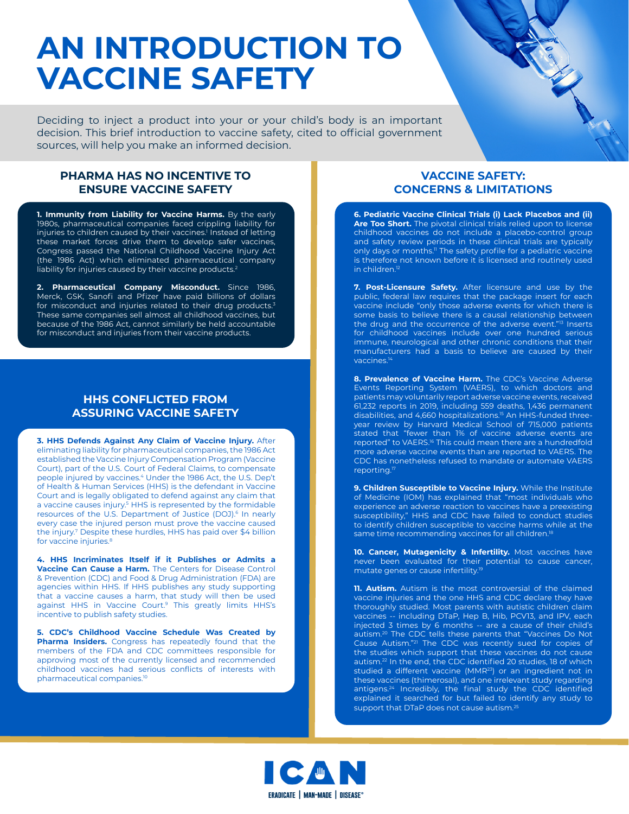# **AN INTRODUCTION TO VACCINE SAFETY**

Deciding to inject a product into your or your child's body is an important decision. This brief introduction to vaccine safety, cited to official government sources, will help you make an informed decision.

## **PHARMA HAS NO INCENTIVE TO ENSURE VACCINE SAFETY**

**1. Immunity from Liability for Vaccine Harms.** By the early 1980s, pharmaceutical companies faced crippling liability for injuries to children caused by their vaccines.<sup>1</sup> Instead of letting these market forces drive them to develop safer vaccines, Congress passed the National Childhood Vaccine Injury Act (the 1986 Act) which eliminated pharmaceutical company liability for injuries caused by their vaccine products.2

**2. Pharmaceutical Company Misconduct.** Since 1986, Merck, GSK, Sanofi and Pfizer have paid billions of dollars for misconduct and injuries related to their drug products.<sup>3</sup> These same companies sell almost all childhood vaccines, but because of the 1986 Act, cannot similarly be held accountable for misconduct and injuries from their vaccine products.

## **HHS CONFLICTED FROM ASSURING VACCINE SAFETY**

**3. HHS Defends Against Any Claim of Vaccine Injury.** After eliminating liability for pharmaceutical companies, the 1986 Act established the Vaccine Injury Compensation Program (Vaccine Court), part of the U.S. Court of Federal Claims, to compensate people injured by vaccines.4 Under the 1986 Act, the U.S. Dep't of Health & Human Services (HHS) is the defendant in Vaccine Court and is legally obligated to defend against any claim that a vaccine causes injury.5 HHS is represented by the formidable resources of the U.S. Department of Justice (DOJ).<sup>6</sup> In nearly every case the injured person must prove the vaccine caused the injury.<sup>7</sup> Despite these hurdles, HHS has paid over \$4 billion for vaccine injuries.<sup>8</sup>

**4. HHS Incriminates Itself if it Publishes or Admits a Vaccine Can Cause a Harm.** The Centers for Disease Control & Prevention (CDC) and Food & Drug Administration (FDA) are agencies within HHS. If HHS publishes any study supporting that a vaccine causes a harm, that study will then be used against HHS in Vaccine Court.9 This greatly limits HHS's incentive to publish safety studies.

**5. CDC's Childhood Vaccine Schedule Was Created by Pharma Insiders.** Congress has repeatedly found that the members of the FDA and CDC committees responsible for approving most of the currently licensed and recommended childhood vaccines had serious conflicts of interests with pharmaceutical companies.<sup>10</sup>

## **VACCINE SAFETY: CONCERNS & LIMITATIONS**

Contractor Report

**6. Pediatric Vaccine Clinical Trials (i) Lack Placebos and (ii) Are Too Short.** The pivotal clinical trials relied upon to license childhood vaccines do not include a placebo-control group and safety review periods in these clinical trials are typically only days or months.<sup>11</sup> The safety profile for a pediatric vaccine is therefore not known before it is licensed and routinely used in children.<sup>12</sup>

**7. Post-Licensure Safety.** After licensure and use by the public, federal law requires that the package insert for each vaccine include "only those adverse events for which there is some basis to believe there is a causal relationship between the drug and the occurrence of the adverse event."<sup>13</sup> Inserts for childhood vaccines include over one hundred serious immune, neurological and other chronic conditions that their manufacturers had a basis to believe are caused by their vaccines.<sup>14</sup>

**8. Prevalence of Vaccine Harm.** The CDC's Vaccine Adverse Events Reporting System (VAERS), to which doctors and patients may voluntarily report adverse vaccine events, received 61,232 reports in 2019, including 559 deaths, 1,436 permanent disabilities, and 4,660 hospitalizations.15 An HHS-funded threeyear review by Harvard Medical School of 715,000 patients stated that "fewer than 1% of vaccine adverse events are reported" to VAERS.<sup>16</sup> This could mean there are a hundredfold more adverse vaccine events than are reported to VAERS. The CDC has nonetheless refused to mandate or automate VAERS reporting.17

**9. Children Susceptible to Vaccine Injury.** While the Institute of Medicine (IOM) has explained that "most individuals who experience an adverse reaction to vaccines have a preexisting susceptibility," HHS and CDC have failed to conduct studies to identify children susceptible to vaccine harms while at the same time recommending vaccines for all children.<sup>18</sup>

**10. Cancer, Mutagenicity & Infertility.** Most vaccines have never been evaluated for their potential to cause cancer, mutate genes or cause infertility.<sup>19</sup>

**11. Autism.** Autism is the most controversial of the claimed vaccine injuries and the one HHS and CDC declare they have thoroughly studied. Most parents with autistic children claim vaccines -- including DTaP, Hep B, Hib, PCV13, and IPV, each injected 3 times by 6 months -- are a cause of their child's autism.20 The CDC tells these parents that "Vaccines Do Not Cause Autism."21 The CDC was recently sued for copies of the studies which support that these vaccines do not cause autism.<sup>22</sup> In the end, the CDC identified 20 studies, 18 of which studied a different vaccine (MMR<sup>23</sup>) or an ingredient not in these vaccines (thimerosal), and one irrelevant study regarding antigens.24 Incredibly, the final study the CDC identified explained it searched for but failed to identify any study to support that DTaP does not cause autism.<sup>25</sup>